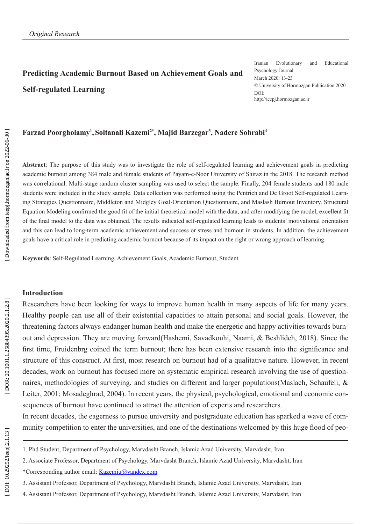# **Predicting Academic Burnout Based on Achievement Goals and Self-regulated Learning**

Iranian Evolutionary and Educational Psychology Journal March 2020: 13-23 © University of Hormozgan Publication 2020 DOI: http://ieepj.hormozgan.ac.ir

### Farzad Poorgholamy<sup>1</sup>, Soltanali Kazemi<sup>2\*</sup>, Majid Barzegar<sup>3</sup>, Nadere Sohrabi<sup>4</sup>

**Abstract**: The purpose of this study was to investigate the role of self-regulated learning and achievement goals in predicting academic burnout among 384 male and female students of Payam-e-Noor University of Shiraz in the 2018. The research method was correlational. Multi-stage random cluster sampling was used to select the sample. Finally, 204 female students and 180 male students were included in the study sample. Data collection was performed using the Pentrich and De Groot Self-regulated Learn ing Strategies Questionnaire, Middleton and Midgley Goal-Orientation Questionnaire, and Maslash Burnout Inventory. Structural Equation Modeling confirmed the good fit of the initial theoretical model with the data, and after modifying the model, excellent fit of the final model to the data was obtained. The results indicated self-regulated learning leads to students' motivational orientation and this can lead to long-term academic achievement and success or stress and burnout in students. In addition, the achievement goals have a critical role in predicting academic burnout because of its impact on the right or wrong approach of learning.

**Keywords**: Self-Regulated Learning, Achievement Goals, Academic Burnout, Student

#### **Introduction**

Researchers have been looking for ways to improve human health in many aspects of life for many years. Healthy people can use all of their existential capacities to attain personal and social goals. However, the threatening factors always endanger human health and make the energetic and happy activities towards burn out and depression. They are moving forward(Hashemi, Savadkouhi, Naami, & Beshlideh, 2018). Since the first time, Fruidenbrg coined the term burnout; there has been extensive research into the significance and structure of this construct. At first, most research on burnout had of a qualitative nature. However, in recent decades, work on burnout has focused more on systematic empirical research involving the use of question naires, methodologies of surveying, and studies on different and larger populations(Maslach, Schaufeli, & Leiter, 2001; Mosadeghrad, 2004). In recent years, the physical, psychological, emotional and economic con sequences of burnout have continued to attract the attention of experts and researchers.

In recent decades, the eagerness to pursue university and postgraduate education has sparked a wave of com munity competition to enter the universities, and one of the destinations welcomed by this huge flood of peo -

4. Assistant Professor, Department of Psychology, Marvdasht Branch, Islamic Azad University, Marvdasht, Iran

<sup>1.</sup> Phd Student, Department of Psychology, Marvdasht Branch, Islamic Azad University, Marvdasht, Iran

<sup>2.</sup> Associate Professor, Department of Psychology, Marvdasht Branch, Islamic Azad University, Marvdasht, Iran

<sup>\*</sup>Corresponding author email: Kazemiu@yandex.com

<sup>3.</sup> Assistant Professor, Department of Psychology, Marvdasht Branch, Islamic Azad University, Marvdasht, Iran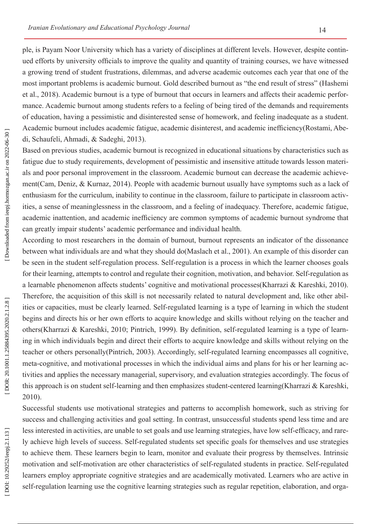ple, is Payam Noor University which has a variety of disciplines at different levels. However, despite contin ued efforts by university officials to improve the quality and quantity of training courses, we have witnessed a growing trend of student frustrations, dilemmas, and adverse academic outcomes each year that one of the most important problems is academic burnout. Gold described burnout as "the end result of stress" (Hashemi et al., 2018). Academic burnout is a type of burnout that occurs in learners and affects their academic perfor mance. Academic burnout among students refers to a feeling of being tired of the demands and requirements of education, having a pessimistic and disinterested sense of homework, and feeling inadequate as a student. Academic burnout includes academic fatigue, academic disinterest, and academic inefficiency(Rostami, Abe di, Schaufeli, Ahmadi, & Sadeghi, 2013).

Based on previous studies, academic burnout is recognized in educational situations by characteristics such as fatigue due to study requirements, development of pessimistic and insensitive attitude towards lesson materi als and poor personal improvement in the classroom. Academic burnout can decrease the academic achieve ment(Cam, Deniz, & Kurnaz, 2014). People with academic burnout usually have symptoms such as a lack of enthusiasm for the curriculum, inability to continue in the classroom, failure to participate in classroom activ ities, a sense of meaninglessness in the classroom, and a feeling of inadequacy. Therefore, academic fatigue, academic inattention, and academic inefficiency are common symptoms of academic burnout syndrome that can greatly impair students' academic performance and individual health.

According to most researchers in the domain of burnout, burnout represents an indicator of the dissonance between what individuals are and what they should do(Maslach et al., 2001). An example of this disorder can be seen in the student self-regulation process. Self-regulation is a process in which the learner chooses goals for their learning, attempts to control and regulate their cognition, motivation, and behavior. Self-regulation as a learnable phenomenon affects students' cognitive and motivational processes(Kharrazi & Kareshki, 2010). Therefore, the acquisition of this skill is not necessarily related to natural development and, like other abil ities or capacities, must be clearly learned. Self-regulated learning is a type of learning in which the student begins and directs his or her own efforts to acquire knowledge and skills without relying on the teacher and others(Kharrazi & Kareshki, 2010; Pintrich, 1999). By definition, self-regulated learning is a type of learn ing in which individuals begin and direct their efforts to acquire knowledge and skills without relying on the teacher or others personally(Pintrich, 2003). Accordingly, self-regulated learning encompasses all cognitive, meta-cognitive, and motivational processes in which the individual aims and plans for his or her learning ac tivities and applies the necessary managerial, supervisory, and evaluation strategies accordingly. The focus of this approach is on student self-learning and then emphasizes student-centered learning(Kharrazi & Kareshki, 2010).

Successful students use motivational strategies and patterns to accomplish homework, such as striving for success and challenging activities and goal setting. In contrast, unsuccessful students spend less time and are less interested in activities, are unable to set goals and use learning strategies, have low self-efficacy, and rarely achieve high levels of success. Self-regulated students set specific goals for themselves and use strategies to achieve them. These learners begin to learn, monitor and evaluate their progress by themselves. Intrinsic motivation and self-motivation are other characteristics of self-regulated students in practice. Self-regulated learners employ appropriate cognitive strategies and are academically motivated. Learners who are active in self-regulation learning use the cognitive learning strategies such as regular repetition, elaboration, and orga -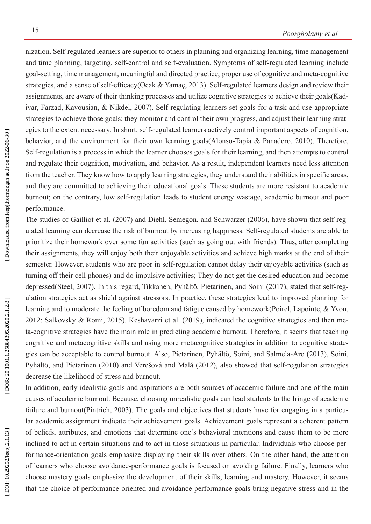nization. Self-regulated learners are superior to others in planning and organizing learning, time management and time planning, targeting, self-control and self-evaluation. Symptoms of self-regulated learning include goal-setting, time management, meaningful and directed practice, proper use of cognitive and meta-cognitive strategies, and a sense of self-efficacy(Ocak & Yamaç, 2013). Self-regulated learners design and review their assignments, are aware of their thinking processes and utilize cognitive strategies to achieve their goals(Kad ivar, Farzad, Kavousian, & Nikdel, 2007). Self-regulating learners set goals for a task and use appropriate strategies to achieve those goals; they monitor and control their own progress, and adjust their learning strat egies to the extent necessary. In short, self-regulated learners actively control important aspects of cognition, behavior, and the environment for their own learning goals(Alonso-Tapia & Panadero, 2010). Therefore, Self-regulation is a process in which the learner chooses goals for their learning, and then attempts to control and regulate their cognition, motivation, and behavior. As a result, independent learners need less attention from the teacher. They know how to apply learning strategies, they understand their abilities in specific areas, and they are committed to achieving their educational goals. These students are more resistant to academic burnout; on the contrary, low self-regulation leads to student energy wastage, academic burnout and poor performance.

The studies of Gailliot et al. (2007) and Diehl, Semegon, and Schwarzer (2006), have shown that self-reg ulated learning can decrease the risk of burnout by increasing happiness. Self-regulated students are able to prioritize their homework over some fun activities (such as going out with friends). Thus, after completing their assignments, they will enjoy both their enjoyable activities and achieve high marks at the end of their semester. However, students who are poor in self-regulation cannot delay their enjoyable activities (such as turning off their cell phones) and do impulsive activities; They do not get the desired education and become depressed(Steel, 2007). In this regard, Tikkanen, Pyhältö, Pietarinen, and Soini (2017), stated that self-reg ulation strategies act as shield against stressors. In practice, these strategies lead to improved planning for learning and to moderate the feeling of boredom and fatigue caused by homework(Poirel, Lapointe, & Yvon, 2012; Salkovsky & Romi, 2015). Keshavarzi et al. (2019), indicated the cognitive strategies and then me ta-cognitive strategies have the main role in predicting academic burnout. Therefore, it seems that teaching cognitive and metacognitive skills and using more metacognitive strategies in addition to cognitive strate gies can be acceptable to control burnout. Also, Pietarinen, Pyhältö, Soini, and Salmela-Aro (2013), Soini, Pyhältö, and Pietarinen (2010) and Verešová and Malá (2012), also showed that self-regulation strategies decrease the likelihood of stress and burnout.

In addition, early idealistic goals and aspirations are both sources of academic failure and one of the main causes of academic burnout. Because, choosing unrealistic goals can lead students to the fringe of academic failure and burnout(Pintrich, 2003). The goals and objectives that students have for engaging in a particular academic assignment indicate their achievement goals. Achievement goals represent a coherent pattern of beliefs, attributes, and emotions that determine one's behavioral intentions and cause them to be more inclined to act in certain situations and to act in those situations in particular. Individuals who choose per formance-orientation goals emphasize displaying their skills over others. On the other hand, the attention of learners who choose avoidance-performance goals is focused on avoiding failure. Finally, learners who choose mastery goals emphasize the development of their skills, learning and mastery. However, it seems that the choice of performance-oriented and avoidance performance goals bring negative stress and in the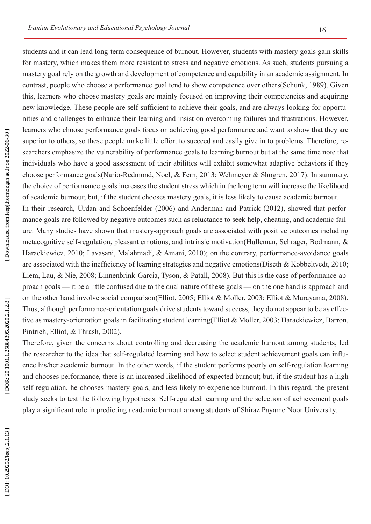students and it can lead long-term consequence of burnout. However, students with mastery goals gain skills for mastery, which makes them more resistant to stress and negative emotions. As such, students pursuing a mastery goal rely on the growth and development of competence and capability in an academic assignment. In contrast, people who choose a performance goal tend to show competence over others(Schunk, 1989). Given this, learners who choose mastery goals are mainly focused on improving their competencies and acquiring new knowledge. These people are self-sufficient to achieve their goals, and are always looking for opportu nities and challenges to enhance their learning and insist on overcoming failures and frustrations. However, learners who choose performance goals focus on achieving good performance and want to show that they are superior to others, so these people make little effort to succeed and easily give in to problems. Therefore, researchers emphasize the vulnerability of performance goals to learning burnout but at the same time note that individuals who have a good assessment of their abilities will exhibit somewhat adaptive behaviors if they choose performance goals(Nario-Redmond, Noel, & Fern, 2013; Wehmeyer & Shogren, 2017). In summary, the choice of performance goals increases the student stress which in the long term will increase the likelihood of academic burnout; but, if the student chooses mastery goals, it is less likely to cause academic burnout.

In their research, Urdan and Schoenfelder (2006) and Anderman and Patrick (2012), showed that perfor mance goals are followed by negative outcomes such as reluctance to seek help, cheating, and academic fail ure. Many studies have shown that mastery-approach goals are associated with positive outcomes including metacognitive self-regulation, pleasant emotions, and intrinsic motivation(Hulleman, Schrager, Bodmann, & Harackiewicz, 2010; Lavasani, Malahmadi, & Amani, 2010); on the contrary, performance-avoidance goals are associated with the inefficiency of learning strategies and negative emotions(Diseth & Kobbeltvedt, 2010; Liem, Lau, & Nie, 2008; Linnenbrink-Garcia, Tyson, & Patall, 2008). But this is the case of performance-ap proach goals — it be a little confused due to the dual nature of these goals — on the one hand is approach and on the other hand involve social comparison(Elliot, 2005; Elliot & Moller, 2003; Elliot & Murayama, 2008). Thus, although performance-orientation goals drive students toward success, they do not appear to be as effec tive as mastery-orientation goals in facilitating student learning(Elliot & Moller, 2003; Harackiewicz, Barron, Pintrich, Elliot, & Thrash, 2002).

Therefore, given the concerns about controlling and decreasing the academic burnout among students, led the researcher to the idea that self-regulated learning and how to select student achievement goals can influ ence his/her academic burnout. In the other words, if the student performs poorly on self-regulation learning and chooses performance, there is an increased likelihood of expected burnout; but, if the student has a high self-regulation, he chooses mastery goals, and less likely to experience burnout. In this regard, the present study seeks to test the following hypothesis: Self-regulated learning and the selection of achievement goals play a significant role in predicting academic burnout among students of Shiraz Payame Noor University .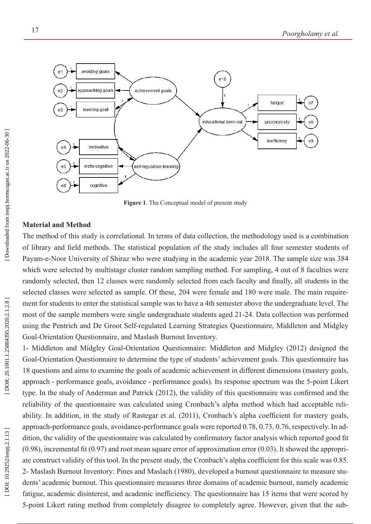

**Figure 1**. The Conceptual model of present study

#### **Material and Method**

The method of this study is correlational. In terms of data collection, the methodology used is a combination of library and field methods. The statistical population of the study includes all four semester students of Payam-e-Noor University of Shiraz who were studying in the academic year 2018. The sample size was 384 which were selected by multistage cluster random sampling method. For sampling, 4 out of 8 faculties were randomly selected, then 12 classes were randomly selected from each faculty and finally, all students in the selected classes were selected as sample. Of these, 204 were female and 180 were male. The main requirement for students to enter the statistical sample was to have a 4th semester above the undergraduate level. The most of the sample members were single undergraduate students aged 21-24. Data collection was performed using the Pentrich and De Groot Self-regulated Learning Strategies Questionnaire, Middleton and Midgley Goal-Orientation Questionnaire, and Maslash Burnout Inventory.

1- Middleton and Midgley Goal-Orientation Questionnaire: Middleton and Midgley (2012) designed the Goal-Orientation Questionnaire to determine the type of students' achievement goals. This questionnaire has 18 questions and aims to examine the goals of academic achievement in different dimensions (mastery goals, approach - performance goals, avoidance - performance goals). Its response spectrum was the 5-point Likert type. In the study of Anderman and Patrick (2012), the validity of this questionnaire was confirmed and the reliability of the questionnaire was calculated using Cronbach's alpha method which had acceptable reli ability. In addition, in the study of Rastegar et al. (2011), Cronbach's alpha coefficient for mastery goals, approach-performance goals, avoidance-performance goals were reported 0.78, 0.73, 0.76, respectively. In ad dition, the validity of the questionnaire was calculated by confirmatory factor analysis which reported good fit (0.98), incremental fit (0.97) and root mean square error of approximation error (0.03). It showed the appropri ate construct validity of this tool. In the present study, the Cronbach's alpha coefficient for this scale was 0.85. 2- Maslash Burnout Inventory: Pines and Maslach (1980), developed a burnout questionnaire to measure stu dents' academic burnout. This questionnaire measures three domains of academic burnout, namely academic fatigue, academic disinterest, and academic inefficiency. The questionnaire has 15 items that were scored by 5-point Likert rating method from completely disagree to completely agree. However, given that the sub -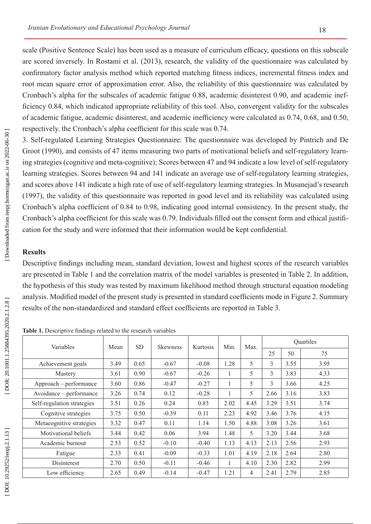scale (Positive Sentence Scale) has been used as a measure of curriculum efficacy, questions on this subscale are scored inversely. In Rostami et al. (2013), research, the validity of the questionnaire was calculated by confirmatory factor analysis method which reported matching fitness indices, incremental fitness index and root mean square error of approximation error. Also, the reliability of this questionnaire was calculated by Cronbach's alpha for the subscales of academic fatigue 0.88, academic disinterest 0.90, and academic inefficiency 0.84, which indicated appropriate reliability of this tool. Also, convergent validity for the subscales of academic fatigue, academic disinterest, and academic inefficiency were calculated as 0.74, 0.68, and 0.50, respectively. the Cronbach's alpha coefficient for this scale was 0.74.

3. Self-regulated Learning Strategies Questionnaire: The questionnaire was developed by Pintrich and De Groot (1990), and consists of 47 items measuring two parts of motivational beliefs and self-regulatory learn ing strategies (cognitive and meta-cognitive); Scores between 47 and 94 indicate a low level of self-regulatory learning strategies. Scores between 94 and 141 indicate an average use of self-regulatory learning strategies, and scores above 141 indicate a high rate of use of self-regulatory learning strategies. In Musanejad's research (1997), the validity of this questionnaire was reported in good level and its reliability was calculated using Cronbach's alpha coefficient of 0.84 to 0.98, indicating good internal consistency. In the present study, the Cronbach's alpha coefficient for this scale was 0.79. Individuals filled out the consent form and ethical justifi cation for the study and were informed that their information would be kept confidential.

## **Results**

Descriptive findings including mean, standard deviation, lowest and highest scores of the research variables are presented in Table 1 and the correlation matrix of the model variables is presented in Table 2. In addition, the hypothesis of this study was tested by maximum likelihood method through structural equation modeling analysis. Modified model of the present study is presented in standard coefficients mode in Figure 2. Summary results of the non-standardized and standard effect coefficients are reported in Table 3.

| Variables                  | Mean | <b>SD</b> | <b>Skewness</b> | Kurtosis | Min.         | Max. | Quartiles |      |      |
|----------------------------|------|-----------|-----------------|----------|--------------|------|-----------|------|------|
|                            |      |           |                 |          |              |      | 25        | 50   | 75   |
| Achievement goals          | 3.49 | 0.65      | $-0.67$         | $-0.08$  | 1.28         | 5    | 3         | 3.55 | 3.95 |
| Mastery                    | 3.61 | 0.90      | $-0.67$         | $-0.26$  | 1            | 5    | 3         | 3.83 | 4.33 |
| Approach – performance     | 3.60 | 0.86      | $-0.47$         | $-0.27$  | 1            | 5    | 3         | 3.66 | 4.25 |
| Avoidance – performance    | 3.26 | 0.74      | 0.12            | $-0.28$  | 1            | 5    | 2.66      | 3.16 | 3.83 |
| Self-regulation strategies | 3.51 | 0.26      | 0.24            | 0.83     | 2.02         | 4.45 | 3.29      | 3.51 | 3.74 |
| Cognitive strategies       | 3.75 | 0.50      | $-0.39$         | 0.11     | 2.23         | 4.92 | 3.46      | 3.76 | 4.15 |
| Metacognitive strategies   | 3.32 | 0.47      | 0.11            | 1.14     | 1.50         | 4.88 | 3.08      | 3.26 | 3.61 |
| Motivational beliefs       | 3.44 | 0.42      | 0.06            | 3.94     | 1.48         | 5    | 3.20      | 3.44 | 3.68 |
| Academic burnout           | 2.53 | 0.52      | $-0.10$         | $-0.40$  | 1.13         | 4.13 | 2.13      | 2.56 | 2.93 |
| Fatigue                    | 2.33 | 0.41      | $-0.09$         | $-0.33$  | 1.01         | 4.19 | 2.18      | 2.64 | 2.80 |
| Disinterest                | 2.70 | 0.50      | $-0.11$         | $-0.46$  | $\mathbf{1}$ | 4.10 | 2.30      | 2.82 | 2.99 |
| Low efficiency             | 2.65 | 0.49      | $-0.14$         | $-0.47$  | 1.21         | 4    | 2.41      | 2.79 | 2.85 |

**Table 1.** Descriptive findings related to the research variables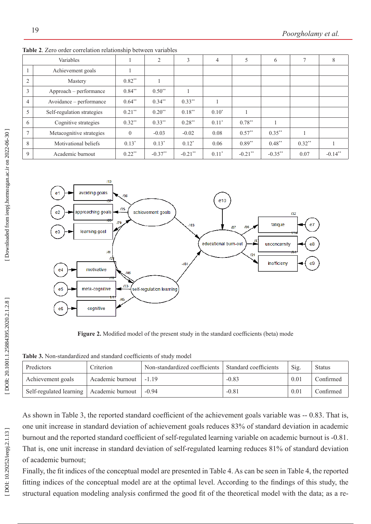|                | Variables                  |                | $\overline{c}$ | 3         | $\overline{4}$ |            | 6          | 7        | 8         |
|----------------|----------------------------|----------------|----------------|-----------|----------------|------------|------------|----------|-----------|
|                | Achievement goals          |                |                |           |                |            |            |          |           |
| 2              | Mastery                    | $0.82**$       |                |           |                |            |            |          |           |
| $\mathfrak{Z}$ | Approach – performance     | $0.84**$       | $0.50**$       |           |                |            |            |          |           |
| $\overline{4}$ | Avoidance – performance    | $0.64**$       | $0.34***$      | $0.33**$  |                |            |            |          |           |
| 5              | Self-regulation strategies | $0.21**$       | $0.20**$       | $0.18**$  | $0.10*$        |            |            |          |           |
| 6              | Cognitive strategies       | $0.32**$       | $0.33***$      | $0.28**$  | $0.11*$        | $0.78**$   |            |          |           |
| $\tau$         | Metacognitive strategies   | $\overline{0}$ | $-0.03$        | $-0.02$   | 0.08           | $0.57**$   | $0.35***$  |          |           |
| 8              | Motivational beliefs       | $0.13*$        | $0.13*$        | $0.12*$   | 0.06           | $0.89**$   | $0.48***$  | $0.32**$ |           |
| 9              | Academic burnout           | $0.22**$       | $-0.37**$      | $-0.21**$ | $0.11*$        | $-0.21$ ** | $-0.35***$ | 0.07     | $-0.14**$ |

**Table 2**. Zero order correlation relationship between variables



**Figure 2.** Modified model of the present study in the standard coefficients (beta) mode

**Table 3.** Non-standardized and standard coefficients of study model

| Predictors                                 | Criterion        | Non-standardized coefficients   Standard coefficients |         | Sig. | <b>Status</b> |
|--------------------------------------------|------------------|-------------------------------------------------------|---------|------|---------------|
| Achievement goals                          | Academic burnout | $-119$                                                | $-0.83$ | 0.01 | Confirmed     |
| Self-regulated learning   Academic burnout |                  | $-0.94$                                               | $-0.81$ | 0.01 | Confirmed     |

As shown in Table 3, the reported standard coefficient of the achievement goals variable was -- 0.83. That is, one unit increase in standard deviation of achievement goals reduces 83% of standard deviation in academic burnout and the reported standard coefficient of self-regulated learning variable on academic burnout is -0.81. That is, one unit increase in standard deviation of self-regulated learning reduces 81% of standard deviation of academic burnout;

Finally, the fit indices of the conceptual model are presented in Table 4. As can be seen in Table 4, the reported fitting indices of the conceptual model are at the optimal level. According to the findings of this study, the structural equation modeling analysis confirmed the good fit of the theoretical model with the data; as a re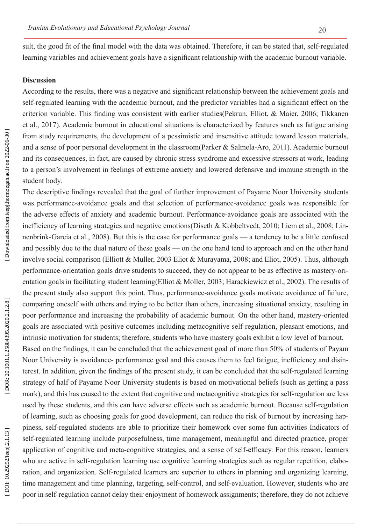sult, the good fit of the final model with the data was obtained. Therefore, it can be stated that, self-regulated learning variables and achievement goals have a significant relationship with the academic burnout variable.

## **Discussion**

According to the results, there was a negative and significant relationship between the achievement goals and self-regulated learning with the academic burnout, and the predictor variables had a significant effect on the criterion variable. This finding was consistent with earlier studies(Pekrun, Elliot, & Maier, 2006; Tikkanen et al., 2017). Academic burnout in educational situations is characterized by features such as fatigue arising from study requirements, the development of a pessimistic and insensitive attitude toward lesson materials, and a sense of poor personal development in the classroom(Parker & Salmela-Aro, 2011). Academic burnout and its consequences, in fact, are caused by chronic stress syndrome and excessive stressors at work, leading to a person's involvement in feelings of extreme anxiety and lowered defensive and immune strength in the student body.

The descriptive findings revealed that the goal of further improvement of Payame Noor University students was performance-avoidance goals and that selection of performance-avoidance goals was responsible for the adverse effects of anxiety and academic burnout. Performance-avoidance goals are associated with the inefficiency of learning strategies and negative emotions(Diseth & Kobbeltvedt, 2010; Liem et al., 2008; Lin nenbrink-Garcia et al., 2008). But this is the case for performance goals — a tendency to be a little confused and possibly due to the dual nature of these goals — on the one hand tend to approach and on the other hand involve social comparison (Elliott & Muller, 2003 Eliot & Murayama, 2008; and Eliot, 2005). Thus, although performance-orientation goals drive students to succeed, they do not appear to be as effective as mastery-ori entation goals in facilitating student learning(Elliot & Moller, 2003; Harackiewicz et al., 2002). The results of the present study also support this point. Thus, performance-avoidance goals motivate avoidance of failure, comparing oneself with others and trying to be better than others, increasing situational anxiety, resulting in poor performance and increasing the probability of academic burnout. On the other hand, mastery-oriented goals are associated with positive outcomes including metacognitive self-regulation, pleasant emotions, and intrinsic motivation for students; therefore, students who have mastery goals exhibit a low level of burnout. Based on the findings, it can be concluded that the achievement goal of more than 50% of students of Payam

Noor University is avoidance- performance goal and this causes them to feel fatigue, inefficiency and disin terest. In addition, given the findings of the present study, it can be concluded that the self-regulated learning strategy of half of Payame Noor University students is based on motivational beliefs (such as getting a pass mark), and this has caused to the extent that cognitive and metacognitive strategies for self-regulation are less used by these students, and this can have adverse effects such as academic burnout. Because self-regulation of learning, such as choosing goals for good development, can reduce the risk of burnout by increasing hap piness, self-regulated students are able to prioritize their homework over some fun activities Indicators of self-regulated learning include purposefulness, time management, meaningful and directed practice, proper application of cognitive and meta-cognitive strategies, and a sense of self-efficacy. For this reason, learners who are active in self-regulation learning use cognitive learning strategies such as regular repetition, elabo ration, and organization. Self-regulated learners are superior to others in planning and organizing learning, time management and time planning, targeting, self-control, and self-evaluation. However, students who are poor in self-regulation cannot delay their enjoyment of homework assignments; therefore, they do not achieve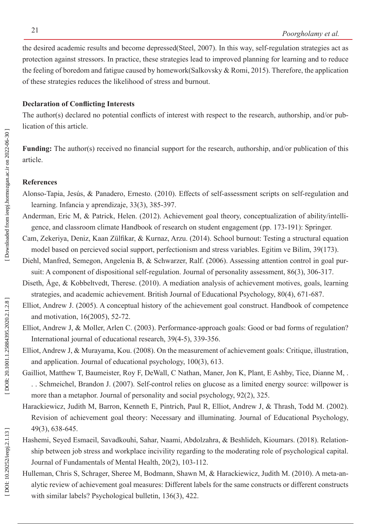the desired academic results and become depressed(Steel, 2007). In this way, self-regulation strategies act as protection against stressors. In practice, these strategies lead to improved planning for learning and to reduce the feeling of boredom and fatigue caused by homework(Salkovsky & Romi, 2015). Therefore, the application of these strategies reduces the likelihood of stress and burnout.

# **Declaration of Conflicting Interests**

The author(s) declared no potential conflicts of interest with respect to the research, authorship, and/or pub lication of this article.

**Funding:** The author(s) received no financial support for the research, authorship, and/or publication of this article.

# **References**

- Alonso-Tapia, Jesús, & Panadero, Ernesto. (2010). Effects of self-assessment scripts on self-regulation and learning. Infancia y aprendizaje, 33(3), 385-397.
- Anderman, Eric M, & Patrick, Helen. (2012). Achievement goal theory, conceptualization of ability/intelli gence, and classroom climate Handbook of research on student engagement (pp. 173-191): Springer .
- Cam, Zekeriya, Deniz, Kaan Zülfikar, & Kurnaz, Arzu. (2014). School burnout: Testing a structural equation model based on percieved social support, perfectionism and stress variables. Egitim ve Bilim, 39(173).
- Diehl, Manfred, Semegon, Angelenia B, & Schwarzer, Ralf. (2006). Assessing attention control in goal pur suit: A component of dispositional self-regulation. Journal of personality assessment, 86(3), 306-317.
- Diseth, Åge, & Kobbeltvedt, Therese. (2010). A mediation analysis of achievement motives, goals, learning strategies, and academic achievement. British Journal of Educational Psychology, 80(4), 671-687.
- Elliot, Andrew J. (2005). A conceptual history of the achievement goal construct. Handbook of competence and motivation, 16(2005), 52-72.
- Elliot, Andrew J, & Moller, Arlen C. (2003). Performance-approach goals: Good or bad forms of regulation? International journal of educational research, 39(4-5), 339-356.
- Elliot, Andrew J, & Murayama, Kou. (2008). On the measurement of achievement goals: Critique, illustration, and application. Journal of educational psychology, 100(3), 613.
- Gailliot, Matthew T, Baumeister, Roy F, DeWall, C Nathan, Maner, Jon K, Plant, E Ashby, Tice, Dianne M, . . . Schmeichel, Brandon J. (2007). Self-control relies on glucose as a limited energy source: willpower is more than a metaphor. Journal of personality and social psychology, 92(2), 325.
- Harackiewicz, Judith M, Barron, Kenneth E, Pintrich, Paul R, Elliot, Andrew J, & Thrash, Todd M. (2002). Revision of achievement goal theory: Necessary and illuminating. Journal of Educational Psychology, 49(3), 638-645.
- Hashemi, Seyed Esmaeil, Savadkouhi, Sahar, Naami, Abdolzahra, & Beshlideh, Kioumars. (2018). Relation ship between job stress and workplace incivility regarding to the moderating role of psychological capital. Journal of Fundamentals of Mental Health, 20(2), 103-112.
- Hulleman, Chris S, Schrager, Sheree M, Bodmann, Shawn M, & Harackiewicz, Judith M. (2010). A meta-an alytic review of achievement goal measures: Different labels for the same constructs or different constructs with similar labels? Psychological bulletin, 136(3), 422.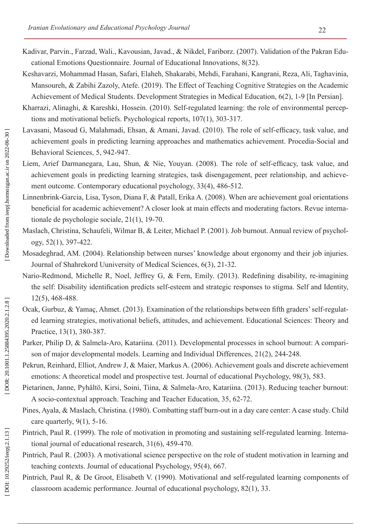- Kadivar, Parvin., Farzad, Wali., Kavousian, Javad., & Nikdel, Fariborz. (2007). Validation of the Pakran Edu cational Emotions Questionnaire. Journal of Educational Innovations, 8(32).
- Keshavarzi, Mohammad Hasan, Safari, Elaheh, Shakarabi, Mehdi, Farahani, Kangrani, Reza, Ali, Taghavinia, Mansoureh, & Zabihi Zazoly, Atefe. (2019). The Effect of Teaching Cognitive Strategies on the Academic Achievement of Medical Students. Development Strategies in Medical Education, 6(2), 1-9 [In Persian].
- Kharrazi, Alinaghi, & Kareshki, Hossein. (2010). Self-regulated learning: the role of environmental percep tions and motivational beliefs. Psychological reports, 107(1), 303-317.
- Lavasani, Masoud G, Malahmadi, Ehsan, & Amani, Javad. (2010). The role of self-efficacy, task value, and achievement goals in predicting learning approaches and mathematics achievement. Procedia-Social and Behavioral Sciences, 5, 942-947.
- Liem, Arief Darmanegara, Lau, Shun, & Nie, Youyan. (2008). The role of self-efficacy, task value, and achievement goals in predicting learning strategies, task disengagement, peer relationship, and achieve ment outcome. Contemporary educational psychology, 33(4), 486-512.
- Linnenbrink-Garcia, Lisa, Tyson, Diana F, & Patall, Erika A. (2008). When are achievement goal orientations beneficial for academic achievement? A closer look at main effects and moderating factors. Revue interna tionale de psychologie sociale, 21(1), 19-70.
- Maslach, Christina, Schaufeli, Wilmar B, & Leiter, Michael P. (2001). Job burnout. Annual review of psychology, 52(1), 397-422.
- Mosadeghrad, AM. (2004). Relationship between nurses' knowledge about ergonomy and their job injuries. Journal of Shahrekord Uuniversity of Medical Sciences, 6(3), 21-32.
- Nario-Redmond, Michelle R, Noel, Jeffrey G, & Fern, Emily. (2013). Redefining disability, re-imagining the self: Disability identification predicts self-esteem and strategic responses to stigma. Self and Identity, 12(5), 468-488.
- Ocak, Gurbuz, & Yamaç, Ahmet. (2013). Examination of the relationships between fifth graders' self-regulated learning strategies, motivational beliefs, attitudes, and achievement. Educational Sciences: Theory and Practice, 13(1), 380-387.
- Parker, Philip D, & Salmela-Aro, Katariina. (2011). Developmental processes in school burnout: A comparison of major developmental models. Learning and Individual Differences, 21(2), 244-248.
- Pekrun, Reinhard, Elliot, Andrew J, & Maier, Markus A. (2006). Achievement goals and discrete achievement emotions: A theoretical model and prospective test. Journal of educational Psychology, 98(3), 583.
- Pietarinen, Janne, Pyhältö, Kirsi, Soini, Tiina, & Salmela-Aro, Katariina. (2013). Reducing teacher burnout: A socio-contextual approach. Teaching and Teacher Education, 35, 62-72.
- Pines, Ayala, & Maslach, Christina. (1980). Combatting staff burn-out in a day care center: A case study. Child care quarterly, 9(1), 5-16.
- Pintrich, Paul R. (1999). The role of motivation in promoting and sustaining self-regulated learning. Interna tional journal of educational research, 31(6), 459-470.
- Pintrich, Paul R. (2003). A motivational science perspective on the role of student motivation in learning and teaching contexts. Journal of educational Psychology, 95(4), 667.
- Pintrich, Paul R, & De Groot, Elisabeth V. (1990). Motivational and self-regulated learning components of classroom academic performance. Journal of educational psychology, 82(1), 33.